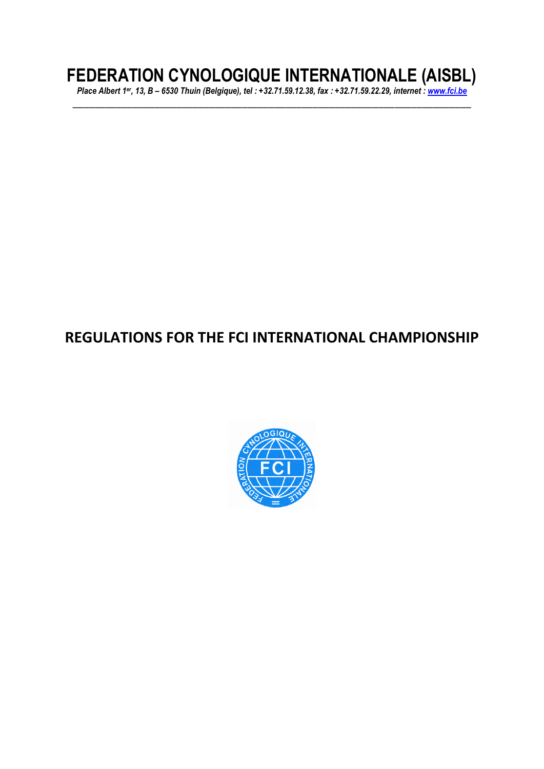# **FEDERATION CYNOLOGIQUE INTERNATIONALE (AISBL)**

*Place Albert 1er, 13, B – 6530 Thuin (Belgique), tel : +32.71.59.12.38, fax : +32.71.59.22.29, internet : [www.fci.be](http://www.fci.be/)* \_\_\_\_\_\_\_\_\_\_\_\_\_\_\_\_\_\_\_\_\_\_\_\_\_\_\_\_\_\_\_\_\_\_\_\_\_\_\_\_\_\_\_\_\_\_\_\_\_\_\_\_\_\_\_\_\_\_\_\_\_\_\_\_\_\_\_\_\_\_\_\_\_

# **REGULATIONS FOR THE FCI INTERNATIONAL CHAMPIONSHIP**

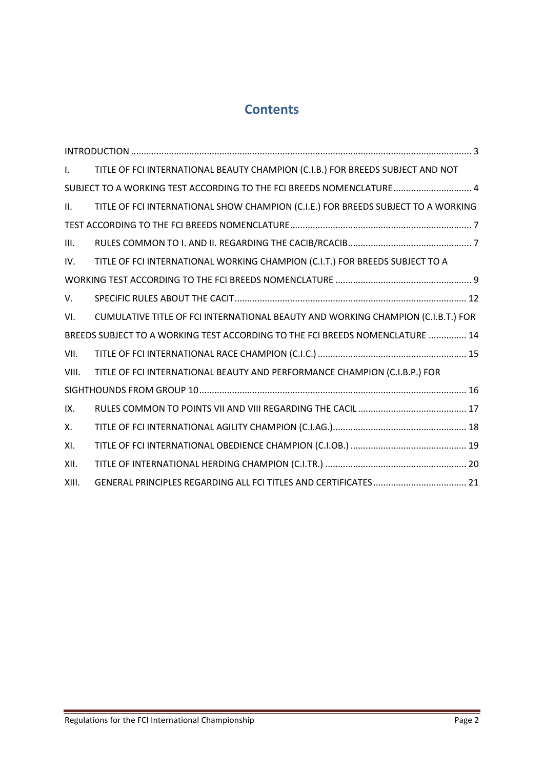# **Contents**

| $\mathsf{L}$                                                                  | TITLE OF FCI INTERNATIONAL BEAUTY CHAMPION (C.I.B.) FOR BREEDS SUBJECT AND NOT    |  |  |
|-------------------------------------------------------------------------------|-----------------------------------------------------------------------------------|--|--|
| SUBJECT TO A WORKING TEST ACCORDING TO THE FCI BREEDS NOMENCLATURE 4          |                                                                                   |  |  |
| Ш.                                                                            | TITLE OF FCI INTERNATIONAL SHOW CHAMPION (C.I.E.) FOR BREEDS SUBJECT TO A WORKING |  |  |
|                                                                               |                                                                                   |  |  |
| III.                                                                          |                                                                                   |  |  |
| IV.                                                                           | TITLE OF FCI INTERNATIONAL WORKING CHAMPION (C.I.T.) FOR BREEDS SUBJECT TO A      |  |  |
|                                                                               |                                                                                   |  |  |
| V.                                                                            |                                                                                   |  |  |
| VI.                                                                           | CUMULATIVE TITLE OF FCI INTERNATIONAL BEAUTY AND WORKING CHAMPION (C.I.B.T.) FOR  |  |  |
| BREEDS SUBJECT TO A WORKING TEST ACCORDING TO THE FCI BREEDS NOMENCLATURE  14 |                                                                                   |  |  |
| VII.                                                                          |                                                                                   |  |  |
| VIII.                                                                         | TITLE OF FCI INTERNATIONAL BEAUTY AND PERFORMANCE CHAMPION (C.I.B.P.) FOR         |  |  |
|                                                                               |                                                                                   |  |  |
| IX.                                                                           |                                                                                   |  |  |
| Х.                                                                            |                                                                                   |  |  |
| XI.                                                                           |                                                                                   |  |  |
| XII.                                                                          |                                                                                   |  |  |
| XIII.                                                                         |                                                                                   |  |  |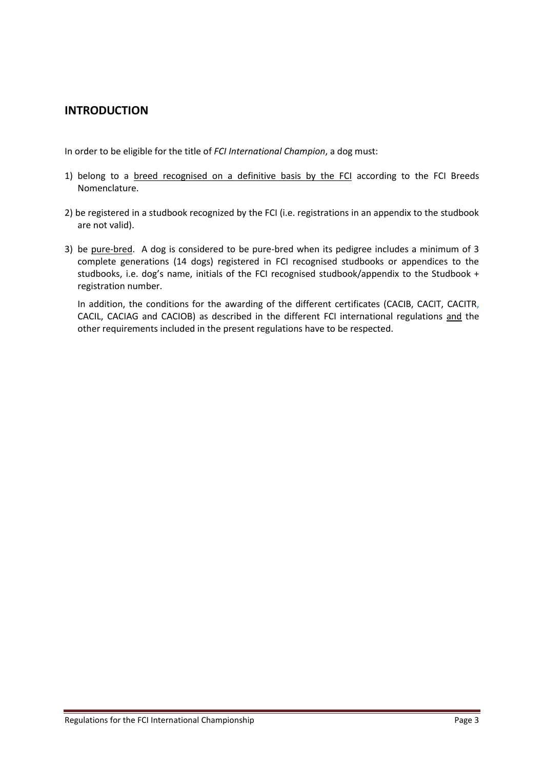# <span id="page-2-0"></span>**INTRODUCTION**

In order to be eligible for the title of *FCI International Champion*, a dog must:

- 1) belong to a breed recognised on a definitive basis by the FCI according to the FCI Breeds Nomenclature.
- 2) be registered in a studbook recognized by the FCI (i.e. registrations in an appendix to the studbook are not valid).
- 3) be pure-bred. A dog is considered to be pure-bred when its pedigree includes a minimum of 3 complete generations (14 dogs) registered in FCI recognised studbooks or appendices to the studbooks, i.e. dog's name, initials of the FCI recognised studbook/appendix to the Studbook + registration number.

In addition, the conditions for the awarding of the different certificates (CACIB, CACIT, CACITR, CACIL, CACIAG and CACIOB) as described in the different FCI international regulations and the other requirements included in the present regulations have to be respected.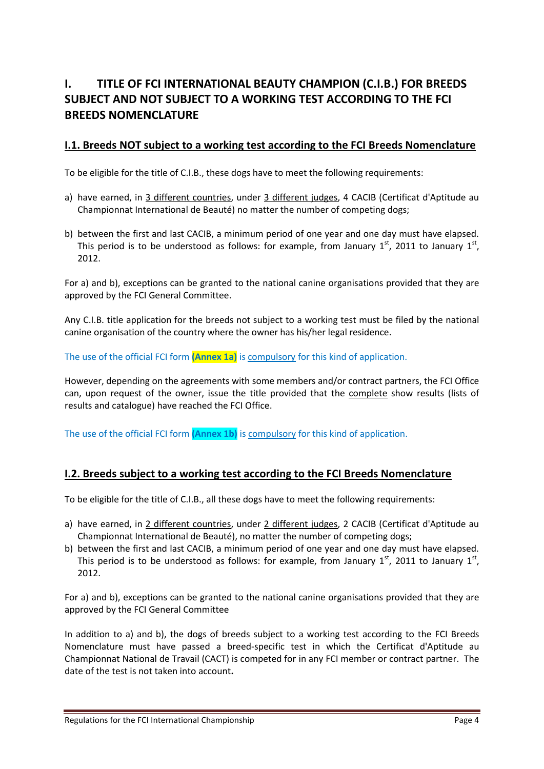# <span id="page-3-0"></span>**I. TITLE OF FCI INTERNATIONAL BEAUTY CHAMPION (C.I.B.) FOR BREEDS SUBJECT AND NOT SUBJECT TO A WORKING TEST ACCORDING TO THE FCI BREEDS NOMENCLATURE**

#### **I.1. Breeds NOT subject to a working test according to the FCI Breeds Nomenclature**

To be eligible for the title of C.I.B., these dogs have to meet the following requirements:

- a) have earned, in 3 different countries, under 3 different judges, 4 CACIB (Certificat d'Aptitude au Championnat International de Beauté) no matter the number of competing dogs;
- b) between the first and last CACIB, a minimum period of one year and one day must have elapsed. This period is to be understood as follows: for example, from January  $1<sup>st</sup>$ , 2011 to January  $1<sup>st</sup>$ , 2012.

For a) and b), exceptions can be granted to the national canine organisations provided that they are approved by the FCI General Committee.

Any C.I.B. title application for the breeds not subject to a working test must be filed by the national canine organisation of the country where the owner has his/her legal residence.

The use of the official FCI form **(Annex 1a)** is compulsory for this kind of application.

However, depending on the agreements with some members and/or contract partners, the FCI Office can, upon request of the owner, issue the title provided that the complete show results (lists of results and catalogue) have reached the FCI Office.

The use of the official FCI form **(Annex 1b)** is compulsory for this kind of application.

#### **I.2. Breeds subject to a working test according to the FCI Breeds Nomenclature**

To be eligible for the title of C.I.B., all these dogs have to meet the following requirements:

- a) have earned, in 2 different countries, under 2 different judges, 2 CACIB (Certificat d'Aptitude au Championnat International de Beauté), no matter the number of competing dogs;
- b) between the first and last CACIB, a minimum period of one year and one day must have elapsed. This period is to be understood as follows: for example, from January  $1<sup>st</sup>$ , 2011 to January  $1<sup>st</sup>$ , 2012.

For a) and b), exceptions can be granted to the national canine organisations provided that they are approved by the FCI General Committee

In addition to a) and b), the dogs of breeds subject to a working test according to the FCI Breeds Nomenclature must have passed a breed-specific test in which the Certificat d'Aptitude au Championnat National de Travail (CACT) is competed for in any FCI member or contract partner.The date of the test is not taken into account**.**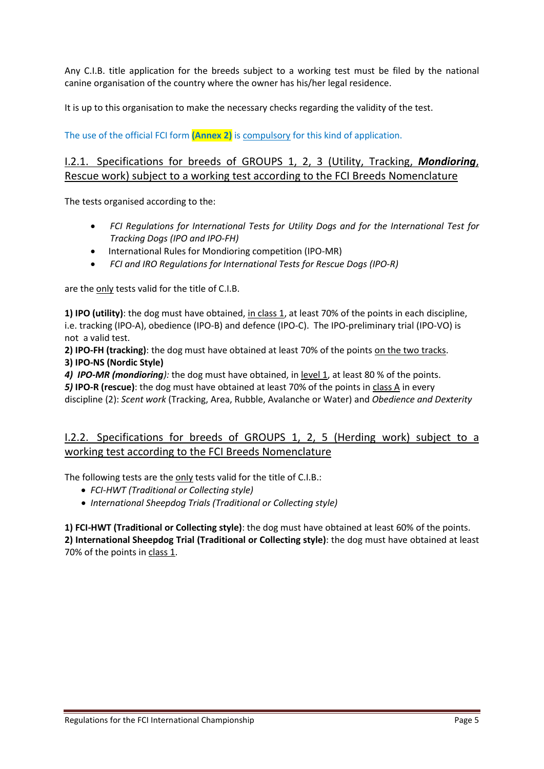Any C.I.B. title application for the breeds subject to a working test must be filed by the national canine organisation of the country where the owner has his/her legal residence.

It is up to this organisation to make the necessary checks regarding the validity of the test.

The use of the official FCI form **(Annex 2)** is compulsory for this kind of application.

### I.2.1. Specifications for breeds of GROUPS 1, 2, 3 (Utility, Tracking, *Mondioring*, Rescue work) subject to a working test according to the FCI Breeds Nomenclature

The tests organised according to the:

- *FCI Regulations for International Tests for Utility Dogs and for the International Test for Tracking Dogs (IPO and IPO-FH)*
- International Rules for Mondioring competition (IPO-MR)
- *FCI and IRO Regulations for International Tests for Rescue Dogs (IPO-R)*

are the only tests valid for the title of C.I.B.

**1) IPO (utility)**: the dog must have obtained, in class 1, at least 70% of the points in each discipline, i.e. tracking (IPO-A), obedience (IPO-B) and defence (IPO-C). The IPO-preliminary trial (IPO-VO) is not a valid test.

**2) IPO-FH (tracking)**: the dog must have obtained at least 70% of the points on the two tracks. **3) IPO-NS (Nordic Style)**

*4) IPO-MR (mondioring):* the dog must have obtained, in level 1, at least 80 % of the points. *5)* **IPO-R (rescue)**: the dog must have obtained at least 70% of the points in class A in every discipline (2): *Scent work* (Tracking, Area, Rubble, Avalanche or Water) and *Obedience and Dexterity*

### I.2.2. Specifications for breeds of GROUPS 1, 2, 5 (Herding work) subject to a working test according to the FCI Breeds Nomenclature

The following tests are the only tests valid for the title of C.I.B.:

- *FCI-HWT (Traditional or Collecting style)*
- *International Sheepdog Trials (Traditional or Collecting style)*

**1) FCI-HWT (Traditional or Collecting style)**: the dog must have obtained at least 60% of the points. **2) International Sheepdog Trial (Traditional or Collecting style)**: the dog must have obtained at least 70% of the points in class 1.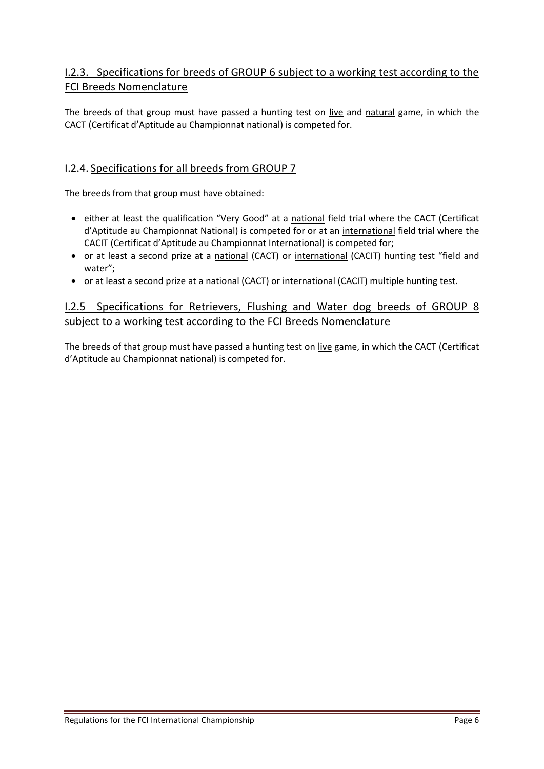# I.2.3. Specifications for breeds of GROUP 6 subject to a working test according to the FCI Breeds Nomenclature

The breeds of that group must have passed a hunting test on live and natural game, in which the CACT (Certificat d'Aptitude au Championnat national) is competed for.

#### I.2.4. Specifications for all breeds from GROUP 7

The breeds from that group must have obtained:

- either at least the qualification "Very Good" at a national field trial where the CACT (Certificat d'Aptitude au Championnat National) is competed for or at an international field trial where the CACIT (Certificat d'Aptitude au Championnat International) is competed for;
- or at least a second prize at a national (CACT) or international (CACIT) hunting test "field and water";
- or at least a second prize at a national (CACT) or international (CACIT) multiple hunting test.

### I.2.5 Specifications for Retrievers, Flushing and Water dog breeds of GROUP 8 subject to a working test according to the FCI Breeds Nomenclature

The breeds of that group must have passed a hunting test on live game, in which the CACT (Certificat d'Aptitude au Championnat national) is competed for.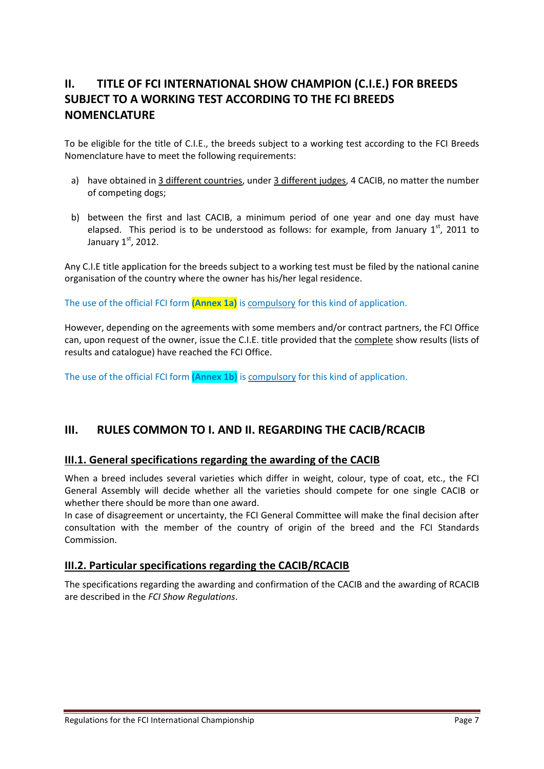# <span id="page-6-0"></span>**II. TITLE OF FCI INTERNATIONAL SHOW CHAMPION (C.I.E.) FOR BREEDS SUBJECT TO A WORKING TEST ACCORDING TO THE FCI BREEDS NOMENCLATURE**

To be eligible for the title of C.I.E., the breeds subject to a working test according to the FCI Breeds Nomenclature have to meet the following requirements:

- a) have obtained in 3 different countries, under 3 different judges, 4 CACIB, no matter the number of competing dogs;
- b) between the first and last CACIB, a minimum period of one year and one day must have elapsed. This period is to be understood as follows: for example, from January  $1<sup>st</sup>$ , 2011 to January  $1<sup>st</sup>$ , 2012.

Any C.I.E title application for the breeds subject to a working test must be filed by the national canine organisation of the country where the owner has his/her legal residence.

The use of the official FCI form **(Annex 1a)** is compulsory for this kind of application.

However, depending on the agreements with some members and/or contract partners, the FCI Office can, upon request of the owner, issue the C.I.E. title provided that the complete show results (lists of results and catalogue) have reached the FCI Office.

The use of the official FCI form **(Annex 1b)** is compulsory for this kind of application.

# <span id="page-6-1"></span>**III. RULES COMMON TO I. AND II. REGARDING THE CACIB/RCACIB**

#### **III.1. General specifications regarding the awarding of the CACIB**

When a breed includes several varieties which differ in weight, colour, type of coat, etc., the FCI General Assembly will decide whether all the varieties should compete for one single CACIB or whether there should be more than one award.

In case of disagreement or uncertainty, the FCI General Committee will make the final decision after consultation with the member of the country of origin of the breed and the FCI Standards Commission.

#### **III.2. Particular specifications regarding the CACIB/RCACIB**

The specifications regarding the awarding and confirmation of the CACIB and the awarding of RCACIB are described in the *FCI Show Regulations*.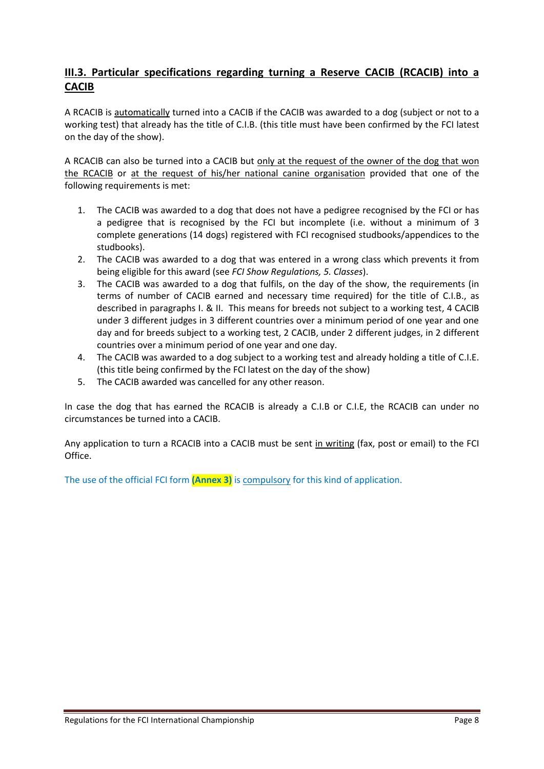# **III.3. Particular specifications regarding turning a Reserve CACIB (RCACIB) into a CACIB**

A RCACIB is automatically turned into a CACIB if the CACIB was awarded to a dog (subject or not to a working test) that already has the title of C.I.B. (this title must have been confirmed by the FCI latest on the day of the show).

A RCACIB can also be turned into a CACIB but only at the request of the owner of the dog that won the RCACIB or at the request of his/her national canine organisation provided that one of the following requirements is met:

- 1. The CACIB was awarded to a dog that does not have a pedigree recognised by the FCI or has a pedigree that is recognised by the FCI but incomplete (i.e. without a minimum of 3 complete generations (14 dogs) registered with FCI recognised studbooks/appendices to the studbooks).
- 2. The CACIB was awarded to a dog that was entered in a wrong class which prevents it from being eligible for this award (see *FCI Show Regulations, 5. Classes*).
- 3. The CACIB was awarded to a dog that fulfils, on the day of the show, the requirements (in terms of number of CACIB earned and necessary time required) for the title of C.I.B., as described in paragraphs I. & II. This means for breeds not subject to a working test, 4 CACIB under 3 different judges in 3 different countries over a minimum period of one year and one day and for breeds subject to a working test, 2 CACIB, under 2 different judges, in 2 different countries over a minimum period of one year and one day.
- 4. The CACIB was awarded to a dog subject to a working test and already holding a title of C.I.E. (this title being confirmed by the FCI latest on the day of the show)
- 5. The CACIB awarded was cancelled for any other reason.

In case the dog that has earned the RCACIB is already a C.I.B or C.I.E, the RCACIB can under no circumstances be turned into a CACIB.

Any application to turn a RCACIB into a CACIB must be sent in writing (fax, post or email) to the FCI Office.

The use of the official FCI form **(Annex 3)** is compulsory for this kind of application.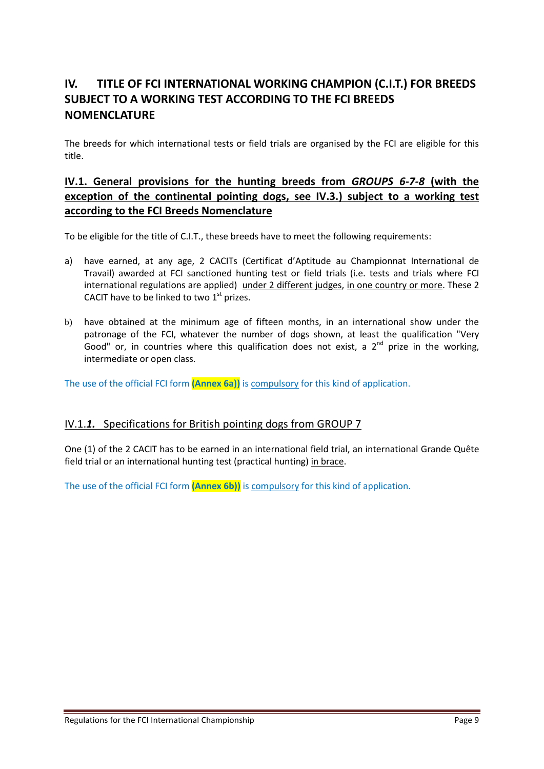# <span id="page-8-0"></span>**IV. TITLE OF FCI INTERNATIONAL WORKING CHAMPION (C.I.T.) FOR BREEDS SUBJECT TO A WORKING TEST ACCORDING TO THE FCI BREEDS NOMENCLATURE**

The breeds for which international tests or field trials are organised by the FCI are eligible for this title.

# **IV.1. General provisions for the hunting breeds from** *GROUPS 6-7-8* **(with the exception of the continental pointing dogs, see IV.3.) subject to a working test according to the FCI Breeds Nomenclature**

To be eligible for the title of C.I.T., these breeds have to meet the following requirements:

- a) have earned, at any age, 2 CACITs (Certificat d'Aptitude au Championnat International de Travail) awarded at FCI sanctioned hunting test or field trials (i.e. tests and trials where FCI international regulations are applied) under 2 different judges, in one country or more. These 2 CACIT have to be linked to two  $1<sup>st</sup>$  prizes.
- b) have obtained at the minimum age of fifteen months, in an international show under the patronage of the FCI, whatever the number of dogs shown, at least the qualification "Very Good" or, in countries where this qualification does not exist, a  $2<sup>nd</sup>$  prize in the working, intermediate or open class.

The use of the official FCI form **(Annex 6a))** is compulsory for this kind of application.

#### IV.1.*1.* Specifications for British pointing dogs from GROUP 7

One (1) of the 2 CACIT has to be earned in an international field trial, an international Grande Quête field trial or an international hunting test (practical hunting) in brace.

The use of the official FCI form **(Annex 6b))** is compulsory for this kind of application.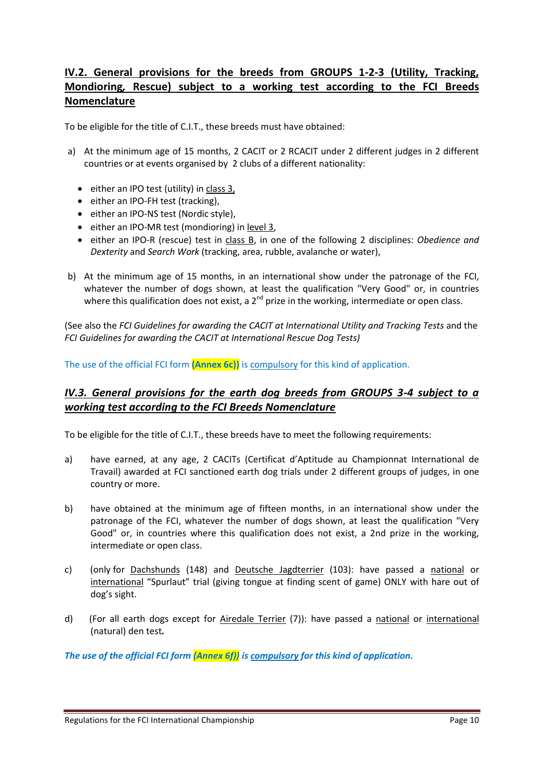# **IV.2. General provisions for the breeds from GROUPS 1-2-3 (Utility, Tracking, Mondioring***,* **Rescue) subject to a working test according to the FCI Breeds Nomenclature**

To be eligible for the title of C.I.T., these breeds must have obtained:

- a) At the minimum age of 15 months, 2 CACIT or 2 RCACIT under 2 different judges in 2 different countries or at events organised by 2 clubs of a different nationality:
	- either an IPO test (utility) in class 3,
	- either an IPO-FH test (tracking),
	- either an IPO-NS test (Nordic style),
	- either an IPO-MR test (mondioring) in level 3,
	- either an IPO-R (rescue) test in class B, in one of the following 2 disciplines: *Obedience and Dexterity* and *Search Work* (tracking, area, rubble, avalanche or water),
- b) At the minimum age of 15 months, in an international show under the patronage of the FCI, whatever the number of dogs shown, at least the qualification "Very Good" or, in countries where this qualification does not exist, a  $2^{nd}$  prize in the working, intermediate or open class.

(See also the *FCI Guidelines for awarding the CACIT at International Utility and Tracking Tests* and the *FCI Guidelines for awarding the CACIT at International Rescue Dog Tests)*

The use of the official FCI form **(Annex 6c))** is compulsory for this kind of application.

### *IV.3. General provisions for the earth dog breeds from GROUPS 3-4 subject to a working test according to the FCI Breeds Nomenclature*

To be eligible for the title of C.I.T., these breeds have to meet the following requirements:

- a) have earned, at any age, 2 CACITs (Certificat d'Aptitude au Championnat International de Travail) awarded at FCI sanctioned earth dog trials under 2 different groups of judges, in one country or more.
- b) have obtained at the minimum age of fifteen months, in an international show under the patronage of the FCI, whatever the number of dogs shown, at least the qualification "Very Good" or, in countries where this qualification does not exist, a 2nd prize in the working, intermediate or open class.
- c) (only for Dachshunds (148) and Deutsche Jagdterrier (103): have passed a national or international "Spurlaut" trial (giving tongue at finding scent of game) ONLY with hare out of dog's sight.
- d) (For all earth dogs except for Airedale Terrier (7)): have passed a national or international (natural) den test*.*

*The use of the official FCI form (Annex 6f)) is compulsory for this kind of application.*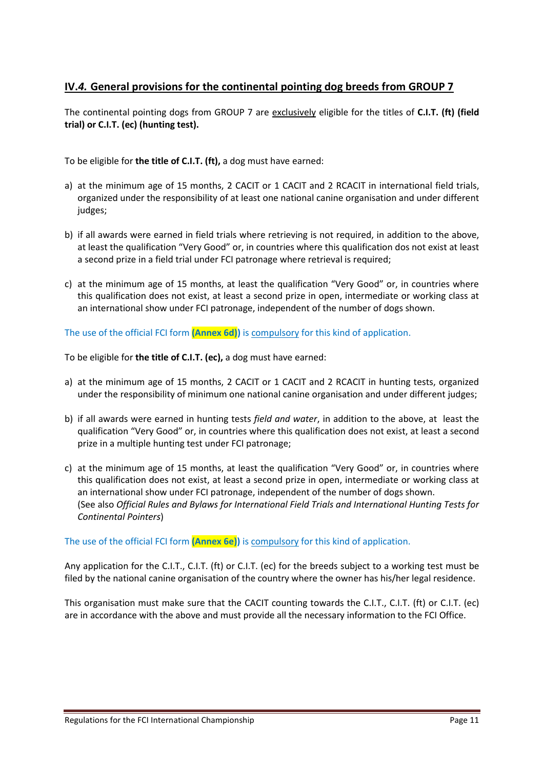### **IV.***4.* **General provisions for the continental pointing dog breeds from GROUP 7**

The continental pointing dogs from GROUP 7 are exclusively eligible for the titles of **C.I.T. (ft) (field trial) or C.I.T. (ec) (hunting test).**

To be eligible for **the title of C.I.T. (ft),** a dog must have earned:

- a) at the minimum age of 15 months, 2 CACIT or 1 CACIT and 2 RCACIT in international field trials, organized under the responsibility of at least one national canine organisation and under different judges;
- b) if all awards were earned in field trials where retrieving is not required, in addition to the above, at least the qualification "Very Good" or, in countries where this qualification dos not exist at least a second prize in a field trial under FCI patronage where retrieval is required;
- c) at the minimum age of 15 months, at least the qualification "Very Good" or, in countries where this qualification does not exist, at least a second prize in open, intermediate or working class at an international show under FCI patronage, independent of the number of dogs shown.

The use of the official FCI form **(Annex 6d))** is compulsory for this kind of application.

To be eligible for **the title of C.I.T. (ec),** a dog must have earned:

- a) at the minimum age of 15 months, 2 CACIT or 1 CACIT and 2 RCACIT in hunting tests, organized under the responsibility of minimum one national canine organisation and under different judges;
- b) if all awards were earned in hunting tests *field and water*, in addition to the above, at least the qualification "Very Good" or, in countries where this qualification does not exist, at least a second prize in a multiple hunting test under FCI patronage;
- c) at the minimum age of 15 months, at least the qualification "Very Good" or, in countries where this qualification does not exist, at least a second prize in open, intermediate or working class at an international show under FCI patronage, independent of the number of dogs shown. (See also *Official Rules and Bylaws for International Field Trials and International Hunting Tests for Continental Pointers*)

The use of the official FCI form **(Annex 6e))** is compulsory for this kind of application.

Any application for the C.I.T., C.I.T. (ft) or C.I.T. (ec) for the breeds subject to a working test must be filed by the national canine organisation of the country where the owner has his/her legal residence.

This organisation must make sure that the CACIT counting towards the C.I.T., C.I.T. (ft) or C.I.T. (ec) are in accordance with the above and must provide all the necessary information to the FCI Office.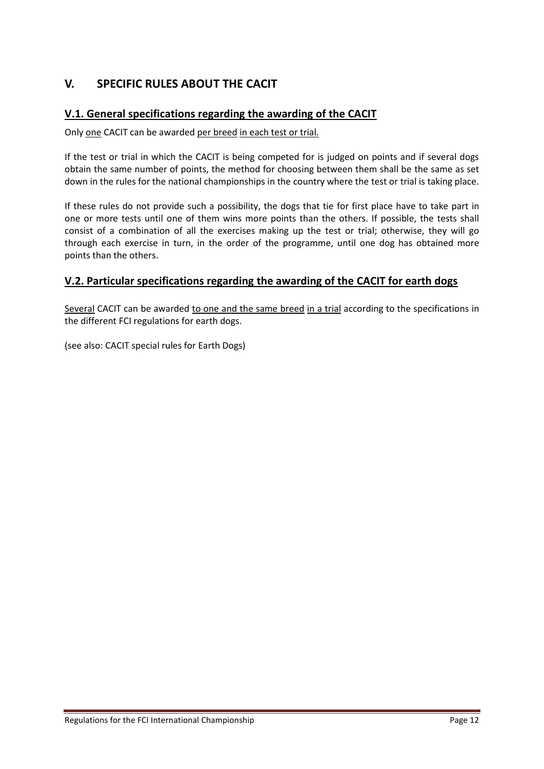# <span id="page-11-0"></span>**V. SPECIFIC RULES ABOUT THE CACIT**

### **V.1. General specifications regarding the awarding of the CACIT**

Only one CACIT can be awarded per breed in each test or trial.

If the test or trial in which the CACIT is being competed for is judged on points and if several dogs obtain the same number of points, the method for choosing between them shall be the same as set down in the rules for the national championships in the country where the test or trial is taking place.

If these rules do not provide such a possibility, the dogs that tie for first place have to take part in one or more tests until one of them wins more points than the others. If possible, the tests shall consist of a combination of all the exercises making up the test or trial; otherwise, they will go through each exercise in turn, in the order of the programme, until one dog has obtained more points than the others.

#### **V.2. Particular specifications regarding the awarding of the CACIT for earth dogs**

Several CACIT can be awarded to one and the same breed in a trial according to the specifications in the different FCI regulations for earth dogs.

(see also: CACIT special rules for Earth Dogs)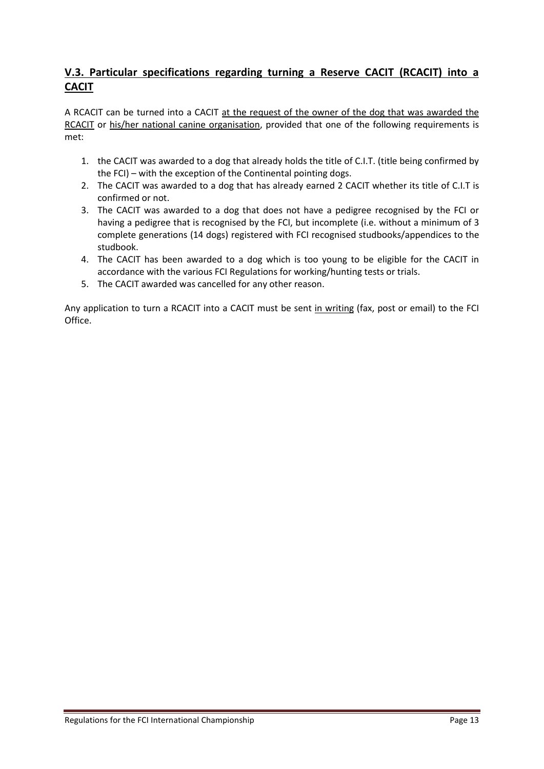# **V.3. Particular specifications regarding turning a Reserve CACIT (RCACIT) into a CACIT**

A RCACIT can be turned into a CACIT at the request of the owner of the dog that was awarded the RCACIT or his/her national canine organisation, provided that one of the following requirements is met:

- 1. the CACIT was awarded to a dog that already holds the title of C.I.T. (title being confirmed by the FCI) – with the exception of the Continental pointing dogs.
- 2. The CACIT was awarded to a dog that has already earned 2 CACIT whether its title of C.I.T is confirmed or not.
- 3. The CACIT was awarded to a dog that does not have a pedigree recognised by the FCI or having a pedigree that is recognised by the FCI, but incomplete (i.e. without a minimum of 3 complete generations (14 dogs) registered with FCI recognised studbooks/appendices to the studbook.
- 4. The CACIT has been awarded to a dog which is too young to be eligible for the CACIT in accordance with the various FCI Regulations for working/hunting tests or trials.
- 5. The CACIT awarded was cancelled for any other reason.

Any application to turn a RCACIT into a CACIT must be sent in writing (fax, post or email) to the FCI Office.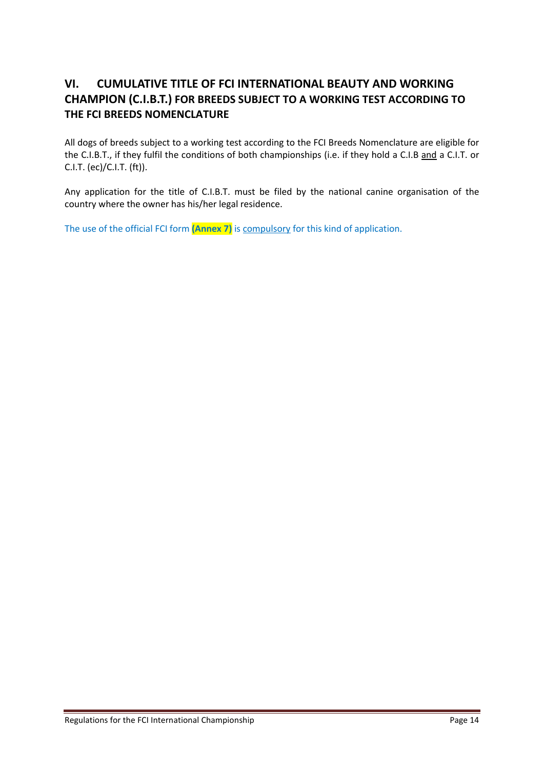# <span id="page-13-0"></span>**VI. CUMULATIVE TITLE OF FCI INTERNATIONAL BEAUTY AND WORKING CHAMPION (C.I.B.T.) FOR BREEDS SUBJECT TO A WORKING TEST ACCORDING TO THE FCI BREEDS NOMENCLATURE**

All dogs of breeds subject to a working test according to the FCI Breeds Nomenclature are eligible for the C.I.B.T., if they fulfil the conditions of both championships (i.e. if they hold a C.I.B and a C.I.T. or C.I.T. (ec)/C.I.T. (ft)).

Any application for the title of C.I.B.T. must be filed by the national canine organisation of the country where the owner has his/her legal residence.

The use of the official FCI form **(Annex 7)** is compulsory for this kind of application.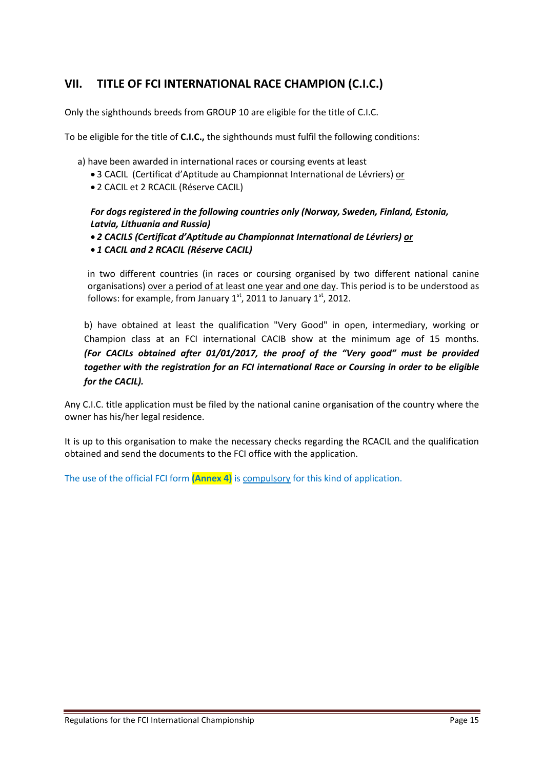# <span id="page-14-0"></span>**VII. TITLE OF FCI INTERNATIONAL RACE CHAMPION (C.I.C.)**

Only the sighthounds breeds from GROUP 10 are eligible for the title of C.I.C.

To be eligible for the title of **C.I.C.,** the sighthounds must fulfil the following conditions:

a) have been awarded in international races or coursing events at least

- 3 CACIL (Certificat d'Aptitude au Championnat International de Lévriers) or
- 2 CACIL et 2 RCACIL (Réserve CACIL)

#### *For dogs registered in the following countries only (Norway, Sweden, Finland, Estonia, Latvia, Lithuania and Russia)*

- *2 CACILS (Certificat d'Aptitude au Championnat International de Lévriers) or*
- *1 CACIL and 2 RCACIL (Réserve CACIL)*

in two different countries (in races or coursing organised by two different national canine organisations) over a period of at least one year and one day. This period is to be understood as follows: for example, from January  $1<sup>st</sup>$ , 2011 to January  $1<sup>st</sup>$ , 2012.

b) have obtained at least the qualification "Very Good" in open, intermediary, working or Champion class at an FCI international CACIB show at the minimum age of 15 months. *(For CACILs obtained after 01/01/2017, the proof of the "Very good" must be provided together with the registration for an FCI international Race or Coursing in order to be eligible for the CACIL).*

Any C.I.C. title application must be filed by the national canine organisation of the country where the owner has his/her legal residence.

It is up to this organisation to make the necessary checks regarding the RCACIL and the qualification obtained and send the documents to the FCI office with the application.

The use of the official FCI form **(Annex 4)** is compulsory for this kind of application.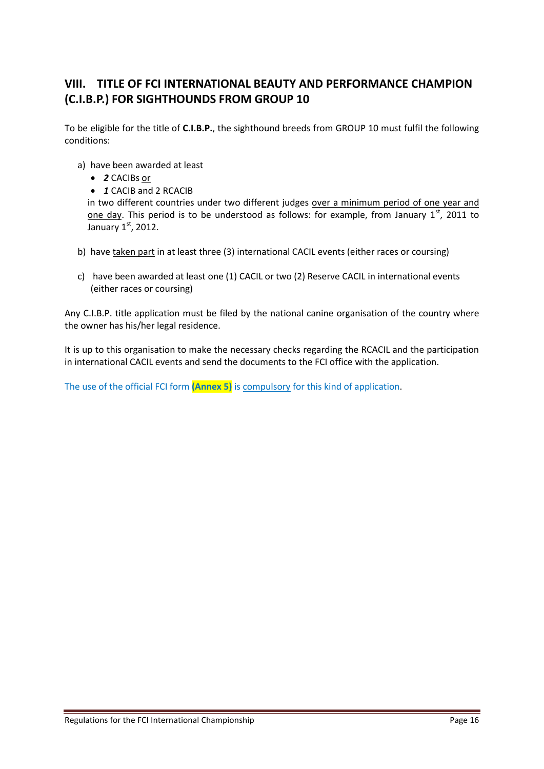# <span id="page-15-0"></span>**VIII. TITLE OF FCI INTERNATIONAL BEAUTY AND PERFORMANCE CHAMPION (C.I.B.P.) FOR SIGHTHOUNDS FROM GROUP 10**

To be eligible for the title of **C.I.B.P.**, the sighthound breeds from GROUP 10 must fulfil the following conditions:

- a) have been awarded at least
	- *2* CACIBs or
	- *1* CACIB and 2 RCACIB

in two different countries under two different judges over a minimum period of one year and one day. This period is to be understood as follows: for example, from January  $1<sup>st</sup>$ , 2011 to January  $1<sup>st</sup>$ , 2012.

- b) have taken part in at least three (3) international CACIL events (either races or coursing)
- c) have been awarded at least one (1) CACIL or two (2) Reserve CACIL in international events (either races or coursing)

Any C.I.B.P. title application must be filed by the national canine organisation of the country where the owner has his/her legal residence.

It is up to this organisation to make the necessary checks regarding the RCACIL and the participation in international CACIL events and send the documents to the FCI office with the application.

The use of the official FCI form **(Annex 5)** is compulsory for this kind of application.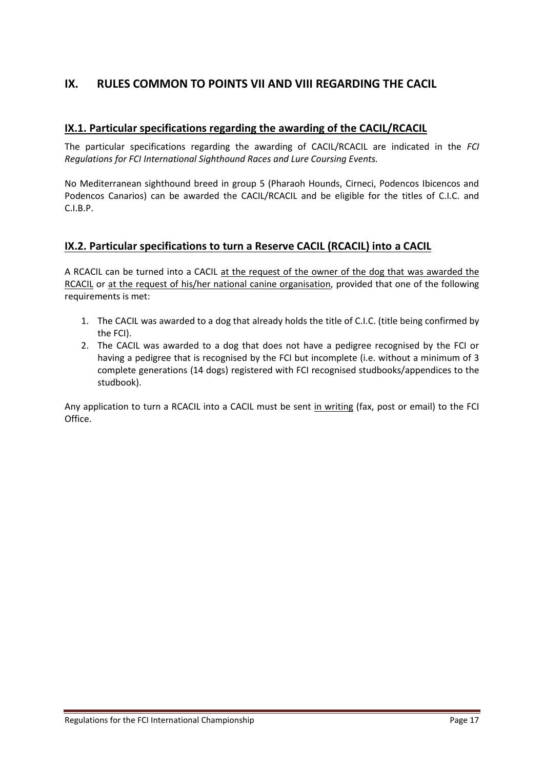# <span id="page-16-0"></span>**IX. RULES COMMON TO POINTS VII AND VIII REGARDING THE CACIL**

#### **IX.1. Particular specifications regarding the awarding of the CACIL/RCACIL**

The particular specifications regarding the awarding of CACIL/RCACIL are indicated in the *FCI Regulations for FCI International Sighthound Races and Lure Coursing Events.*

No Mediterranean sighthound breed in group 5 (Pharaoh Hounds, Cirneci, Podencos Ibicencos and Podencos Canarios) can be awarded the CACIL/RCACIL and be eligible for the titles of C.I.C. and C.I.B.P.

#### **IX.2. Particular specifications to turn a Reserve CACIL (RCACIL) into a CACIL**

A RCACIL can be turned into a CACIL at the request of the owner of the dog that was awarded the RCACIL or at the request of his/her national canine organisation, provided that one of the following requirements is met:

- 1. The CACIL was awarded to a dog that already holds the title of C.I.C. (title being confirmed by the FCI).
- 2. The CACIL was awarded to a dog that does not have a pedigree recognised by the FCI or having a pedigree that is recognised by the FCI but incomplete (i.e. without a minimum of 3 complete generations (14 dogs) registered with FCI recognised studbooks/appendices to the studbook).

Any application to turn a RCACIL into a CACIL must be sent in writing (fax, post or email) to the FCI Office.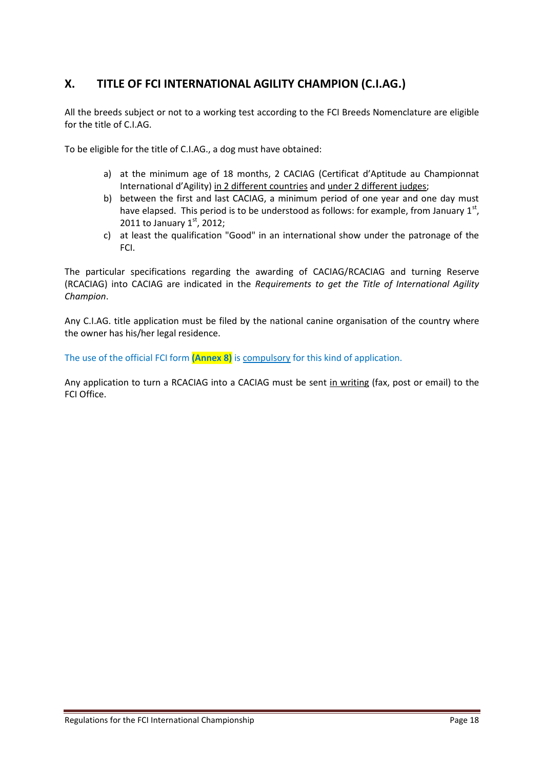# <span id="page-17-0"></span>**X. TITLE OF FCI INTERNATIONAL AGILITY CHAMPION (C.I.AG.)**

All the breeds subject or not to a working test according to the FCI Breeds Nomenclature are eligible for the title of C.I.AG.

To be eligible for the title of C.I.AG., a dog must have obtained:

- a) at the minimum age of 18 months, 2 CACIAG (Certificat d'Aptitude au Championnat International d'Agility) in 2 different countries and under 2 different judges;
- b) between the first and last CACIAG, a minimum period of one year and one day must have elapsed. This period is to be understood as follows: for example, from January  $1<sup>st</sup>$ , 2011 to January  $1^{st}$ , 2012;
- c) at least the qualification "Good" in an international show under the patronage of the FCI.

The particular specifications regarding the awarding of CACIAG/RCACIAG and turning Reserve (RCACIAG) into CACIAG are indicated in the *Requirements to get the Title of International Agility Champion*.

Any C.I.AG. title application must be filed by the national canine organisation of the country where the owner has his/her legal residence.

The use of the official FCI form **(Annex 8)** is compulsory for this kind of application.

Any application to turn a RCACIAG into a CACIAG must be sent in writing (fax, post or email) to the FCI Office.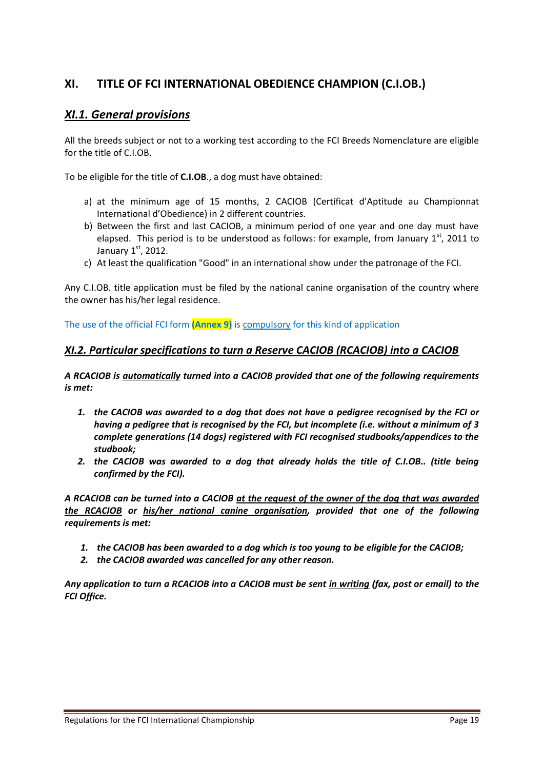# <span id="page-18-0"></span>**XI. TITLE OF FCI INTERNATIONAL OBEDIENCE CHAMPION (C.I.OB.)**

# *XI.1. General provisions*

All the breeds subject or not to a working test according to the FCI Breeds Nomenclature are eligible for the title of C.I.OB.

To be eligible for the title of **C.I.OB**., a dog must have obtained:

- a) at the minimum age of 15 months, 2 CACIOB (Certificat d'Aptitude au Championnat International d'Obedience) in 2 different countries.
- b) Between the first and last CACIOB, a minimum period of one year and one day must have elapsed. This period is to be understood as follows: for example, from January  $1<sup>st</sup>$ , 2011 to January  $1<sup>st</sup>$ , 2012.
- c) At least the qualification "Good" in an international show under the patronage of the FCI.

Any C.I.OB. title application must be filed by the national canine organisation of the country where the owner has his/her legal residence.

The use of the official FCI form **(Annex 9)** is compulsory for this kind of application

#### *XI.2. Particular specifications to turn a Reserve CACIOB (RCACIOB) into a CACIOB*

*A RCACIOB is automatically turned into a CACIOB provided that one of the following requirements is met:* 

- *1. the CACIOB was awarded to a dog that does not have a pedigree recognised by the FCI or having a pedigree that is recognised by the FCI, but incomplete (i.e. without a minimum of 3 complete generations (14 dogs) registered with FCI recognised studbooks/appendices to the studbook;*
- *2. the CACIOB was awarded to a dog that already holds the title of C.I.OB.. (title being confirmed by the FCI).*

*A RCACIOB can be turned into a CACIOB at the request of the owner of the dog that was awarded the RCACIOB or his/her national canine organisation, provided that one of the following requirements is met:* 

- *1. the CACIOB has been awarded to a dog which is too young to be eligible for the CACIOB;*
- *2. the CACIOB awarded was cancelled for any other reason.*

*Any application to turn a RCACIOB into a CACIOB must be sent in writing (fax, post or email) to the FCI Office.*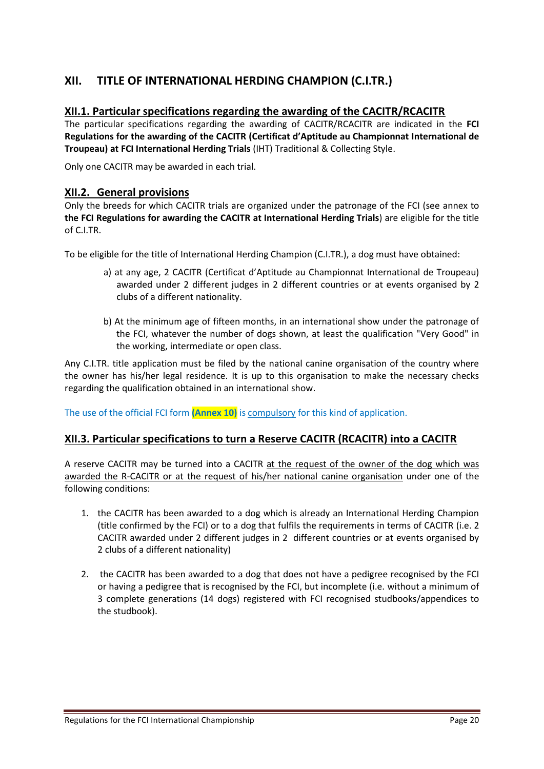# <span id="page-19-0"></span>**XII. TITLE OF INTERNATIONAL HERDING CHAMPION (C.I.TR.)**

#### **XII.1. Particular specifications regarding the awarding of the CACITR/RCACITR**

The particular specifications regarding the awarding of CACITR/RCACITR are indicated in the **FCI Regulations for the awarding of the CACITR (Certificat d'Aptitude au Championnat International de Troupeau) at FCI International Herding Trials** (IHT) Traditional & Collecting Style.

Only one CACITR may be awarded in each trial.

#### **XII.2. General provisions**

Only the breeds for which CACITR trials are organized under the patronage of the FCI (see annex to **the FCI Regulations for awarding the CACITR at International Herding Trials**) are eligible for the title of C.I.TR.

To be eligible for the title of International Herding Champion (C.I.TR.), a dog must have obtained:

- a) at any age, 2 CACITR (Certificat d'Aptitude au Championnat International de Troupeau) awarded under 2 different judges in 2 different countries or at events organised by 2 clubs of a different nationality.
- b) At the minimum age of fifteen months, in an international show under the patronage of the FCI, whatever the number of dogs shown, at least the qualification "Very Good" in the working, intermediate or open class.

Any C.I.TR. title application must be filed by the national canine organisation of the country where the owner has his/her legal residence. It is up to this organisation to make the necessary checks regarding the qualification obtained in an international show.

The use of the official FCI form **(Annex 10)** is compulsory for this kind of application.

#### **XII.3. Particular specifications to turn a Reserve CACITR (RCACITR) into a CACITR**

A reserve CACITR may be turned into a CACITR at the request of the owner of the dog which was awarded the R-CACITR or at the request of his/her national canine organisation under one of the following conditions:

- 1. the CACITR has been awarded to a dog which is already an International Herding Champion (title confirmed by the FCI) or to a dog that fulfils the requirements in terms of CACITR (i.e. 2 CACITR awarded under 2 different judges in 2 different countries or at events organised by 2 clubs of a different nationality)
- 2. the CACITR has been awarded to a dog that does not have a pedigree recognised by the FCI or having a pedigree that is recognised by the FCI, but incomplete (i.e. without a minimum of 3 complete generations (14 dogs) registered with FCI recognised studbooks/appendices to the studbook).